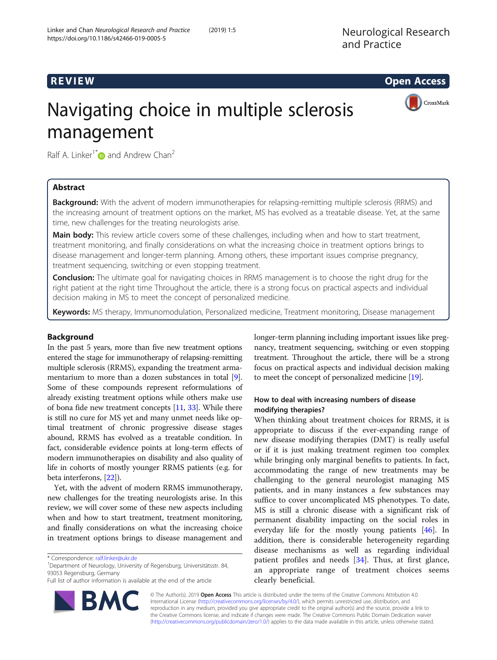R EVI EW Open Access



# Navigating choice in multiple sclerosis management

Ralf A. Linker<sup>1[\\*](http://orcid.org/0000-0001-9775-3719)</sup> and Andrew Chan<sup>2</sup>

# Abstract

Background: With the advent of modern immunotherapies for relapsing-remitting multiple sclerosis (RRMS) and the increasing amount of treatment options on the market, MS has evolved as a treatable disease. Yet, at the same time, new challenges for the treating neurologists arise.

Main body: This review article covers some of these challenges, including when and how to start treatment, treatment monitoring, and finally considerations on what the increasing choice in treatment options brings to disease management and longer-term planning. Among others, these important issues comprise pregnancy, treatment sequencing, switching or even stopping treatment.

**Conclusion:** The ultimate goal for navigating choices in RRMS management is to choose the right drug for the right patient at the right time Throughout the article, there is a strong focus on practical aspects and individual decision making in MS to meet the concept of personalized medicine.

Keywords: MS therapy, Immunomodulation, Personalized medicine, Treatment monitoring, Disease management

# Background

In the past 5 years, more than five new treatment options entered the stage for immunotherapy of relapsing-remitting multiple sclerosis (RRMS), expanding the treatment arma-mentarium to more than a dozen substances in total [[9](#page-6-0)]. Some of these compounds represent reformulations of already existing treatment options while others make use of bona fide new treatment concepts [[11](#page-6-0), [33\]](#page-7-0). While there is still no cure for MS yet and many unmet needs like optimal treatment of chronic progressive disease stages abound, RRMS has evolved as a treatable condition. In fact, considerable evidence points at long-term effects of modern immunotherapies on disability and also quality of life in cohorts of mostly younger RRMS patients (e.g. for beta interferons, [[22](#page-6-0)]).

Yet, with the advent of modern RRMS immunotherapy, new challenges for the treating neurologists arise. In this review, we will cover some of these new aspects including when and how to start treatment, treatment monitoring, and finally considerations on what the increasing choice in treatment options brings to disease management and

<sup>1</sup>Department of Neurology, University of Regensburg, Universitätsstr. 84, 93053 Regensburg, Germany

Full list of author information is available at the end of the article



longer-term planning including important issues like pregnancy, treatment sequencing, switching or even stopping treatment. Throughout the article, there will be a strong focus on practical aspects and individual decision making to meet the concept of personalized medicine [[19](#page-6-0)].

# How to deal with increasing numbers of disease modifying therapies?

When thinking about treatment choices for RRMS, it is appropriate to discuss if the ever-expanding range of new disease modifying therapies (DMT) is really useful or if it is just making treatment regimen too complex while bringing only marginal benefits to patients. In fact, accommodating the range of new treatments may be challenging to the general neurologist managing MS patients, and in many instances a few substances may suffice to cover uncomplicated MS phenotypes. To date, MS is still a chronic disease with a significant risk of permanent disability impacting on the social roles in everyday life for the mostly young patients [\[46](#page-7-0)]. In addition, there is considerable heterogeneity regarding disease mechanisms as well as regarding individual patient profiles and needs [[34\]](#page-7-0). Thus, at first glance, an appropriate range of treatment choices seems clearly beneficial.

© The Author(s). 2019 Open Access This article is distributed under the terms of the Creative Commons Attribution 4.0 International License [\(http://creativecommons.org/licenses/by/4.0/](http://creativecommons.org/licenses/by/4.0/)), which permits unrestricted use, distribution, and reproduction in any medium, provided you give appropriate credit to the original author(s) and the source, provide a link to the Creative Commons license, and indicate if changes were made. The Creative Commons Public Domain Dedication waiver [\(http://creativecommons.org/publicdomain/zero/1.0/](http://creativecommons.org/publicdomain/zero/1.0/)) applies to the data made available in this article, unless otherwise stated.

<sup>\*</sup> Correspondence: [ralf.linker@ukr.de](mailto:ralf.linker@ukr.de) <sup>1</sup>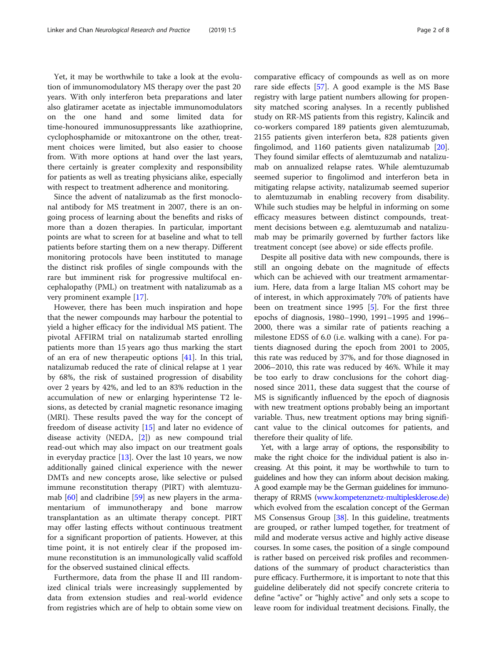Yet, it may be worthwhile to take a look at the evolution of immunomodulatory MS therapy over the past 20 years. With only interferon beta preparations and later also glatiramer acetate as injectable immunomodulators on the one hand and some limited data for time-honoured immunosuppressants like azathioprine, cyclophosphamide or mitoxantrone on the other, treatment choices were limited, but also easier to choose from. With more options at hand over the last years, there certainly is greater complexity and responsibility for patients as well as treating physicians alike, especially with respect to treatment adherence and monitoring.

Since the advent of natalizumab as the first monoclonal antibody for MS treatment in 2007, there is an ongoing process of learning about the benefits and risks of more than a dozen therapies. In particular, important points are what to screen for at baseline and what to tell patients before starting them on a new therapy. Different monitoring protocols have been instituted to manage the distinct risk profiles of single compounds with the rare but imminent risk for progressive multifocal encephalopathy (PML) on treatment with natalizumab as a very prominent example [[17\]](#page-6-0).

However, there has been much inspiration and hope that the newer compounds may harbour the potential to yield a higher efficacy for the individual MS patient. The pivotal AFFIRM trial on natalizumab started enrolling patients more than 15 years ago thus marking the start of an era of new therapeutic options [[41\]](#page-7-0). In this trial, natalizumab reduced the rate of clinical relapse at 1 year by 68%, the risk of sustained progression of disability over 2 years by 42%, and led to an 83% reduction in the accumulation of new or enlarging hyperintense T2 lesions, as detected by cranial magnetic resonance imaging (MRI). These results paved the way for the concept of freedom of disease activity [\[15](#page-6-0)] and later no evidence of disease activity (NEDA, [[2\]](#page-6-0)) as new compound trial read-out which may also impact on our treatment goals in everyday practice  $[13]$  $[13]$ . Over the last 10 years, we now additionally gained clinical experience with the newer DMTs and new concepts arose, like selective or pulsed immune reconstitution therapy (PIRT) with alemtuzumab [[60](#page-7-0)] and cladribine [\[59\]](#page-7-0) as new players in the armamentarium of immunotherapy and bone marrow transplantation as an ultimate therapy concept. PIRT may offer lasting effects without continuous treatment for a significant proportion of patients. However, at this time point, it is not entirely clear if the proposed immune reconstitution is an immunologically valid scaffold for the observed sustained clinical effects.

Furthermore, data from the phase II and III randomized clinical trials were increasingly supplemented by data from extension studies and real-world evidence from registries which are of help to obtain some view on comparative efficacy of compounds as well as on more rare side effects [\[57](#page-7-0)]. A good example is the MS Base registry with large patient numbers allowing for propensity matched scoring analyses. In a recently published study on RR-MS patients from this registry, Kalincik and co-workers compared 189 patients given alemtuzumab, 2155 patients given interferon beta, 828 patients given fingolimod, and 1160 patients given natalizumab [\[20](#page-6-0)]. They found similar effects of alemtuzumab and natalizumab on annualized relapse rates. While alemtuzumab seemed superior to fingolimod and interferon beta in mitigating relapse activity, natalizumab seemed superior to alemtuzumab in enabling recovery from disability. While such studies may be helpful in informing on some efficacy measures between distinct compounds, treatment decisions between e.g. alemtuzumab and natalizumab may be primarily governed by further factors like treatment concept (see above) or side effects profile.

Despite all positive data with new compounds, there is still an ongoing debate on the magnitude of effects which can be achieved with our treatment armamentarium. Here, data from a large Italian MS cohort may be of interest, in which approximately 70% of patients have been on treatment since 1995  $[5]$  $[5]$ . For the first three epochs of diagnosis, 1980–1990, 1991–1995 and 1996– 2000, there was a similar rate of patients reaching a milestone EDSS of 6.0 (i.e. walking with a cane). For patients diagnosed during the epoch from 2001 to 2005, this rate was reduced by 37%, and for those diagnosed in 2006–2010, this rate was reduced by 46%. While it may be too early to draw conclusions for the cohort diagnosed since 2011, these data suggest that the course of MS is significantly influenced by the epoch of diagnosis with new treatment options probably being an important variable. Thus, new treatment options may bring significant value to the clinical outcomes for patients, and therefore their quality of life.

Yet, with a large array of options, the responsibility to make the right choice for the individual patient is also increasing. At this point, it may be worthwhile to turn to guidelines and how they can inform about decision making. A good example may be the German guidelines for immunotherapy of RRMS [\(www.kompetenznetz-multiplesklerose.de](http://www.kompetenznetz-multiplesklerose.de)) which evolved from the escalation concept of the German MS Consensus Group [\[38\]](#page-7-0). In this guideline, treatments are grouped, or rather lumped together, for treatment of mild and moderate versus active and highly active disease courses. In some cases, the position of a single compound is rather based on perceived risk profiles and recommendations of the summary of product characteristics than pure efficacy. Furthermore, it is important to note that this guideline deliberately did not specify concrete criteria to define "active" or "highly active" and only sets a scope to leave room for individual treatment decisions. Finally, the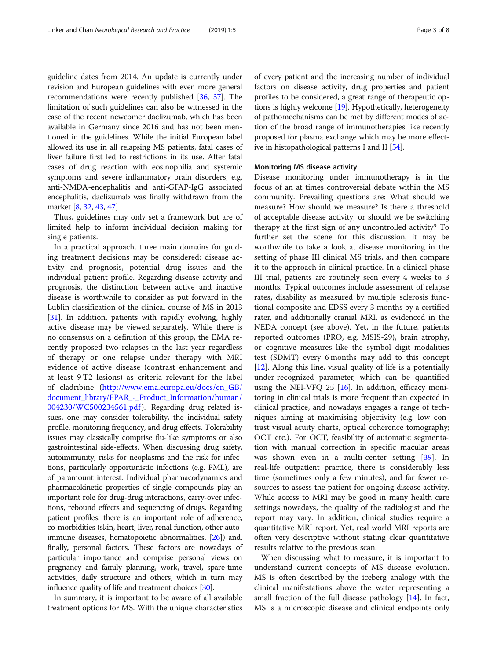guideline dates from 2014. An update is currently under revision and European guidelines with even more general recommendations were recently published [\[36,](#page-7-0) [37\]](#page-7-0). The limitation of such guidelines can also be witnessed in the case of the recent newcomer daclizumab, which has been available in Germany since 2016 and has not been mentioned in the guidelines. While the initial European label allowed its use in all relapsing MS patients, fatal cases of liver failure first led to restrictions in its use. After fatal cases of drug reaction with eosinophilia and systemic symptoms and severe inflammatory brain disorders, e.g. anti-NMDA-encephalitis and anti-GFAP-IgG associated encephalitis, daclizumab was finally withdrawn from the market [[8](#page-6-0), [32,](#page-7-0) [43](#page-7-0), [47](#page-7-0)].

Thus, guidelines may only set a framework but are of limited help to inform individual decision making for single patients.

In a practical approach, three main domains for guiding treatment decisions may be considered: disease activity and prognosis, potential drug issues and the individual patient profile. Regarding disease activity and prognosis, the distinction between active and inactive disease is worthwhile to consider as put forward in the Lublin classification of the clinical course of MS in 2013 [[31\]](#page-7-0). In addition, patients with rapidly evolving, highly active disease may be viewed separately. While there is no consensus on a definition of this group, the EMA recently proposed two relapses in the last year regardless of therapy or one relapse under therapy with MRI evidence of active disease (contrast enhancement and at least 9 T2 lesions) as criteria relevant for the label of cladribine ([http://www.ema.europa.eu/docs/en\\_GB/](http://www.ema.europa.eu/docs/en_GB/document_library/EPAR_-_Product_Information/human/004230/WC500234561.pdf) [document\\_library/EPAR\\_-\\_Product\\_Information/human/](http://www.ema.europa.eu/docs/en_GB/document_library/EPAR_-_Product_Information/human/004230/WC500234561.pdf) [004230/WC500234561.pdf](http://www.ema.europa.eu/docs/en_GB/document_library/EPAR_-_Product_Information/human/004230/WC500234561.pdf)). Regarding drug related issues, one may consider tolerability, the individual safety profile, monitoring frequency, and drug effects. Tolerability issues may classically comprise flu-like symptoms or also gastrointestinal side-effects. When discussing drug safety, autoimmunity, risks for neoplasms and the risk for infections, particularly opportunistic infections (e.g. PML), are of paramount interest. Individual pharmacodynamics and pharmacokinetic properties of single compounds play an important role for drug-drug interactions, carry-over infections, rebound effects and sequencing of drugs. Regarding patient profiles, there is an important role of adherence, co-morbidities (skin, heart, liver, renal function, other autoimmune diseases, hematopoietic abnormalities, [\[26\]](#page-6-0)) and, finally, personal factors. These factors are nowadays of particular importance and comprise personal views on pregnancy and family planning, work, travel, spare-time activities, daily structure and others, which in turn may influence quality of life and treatment choices [\[30\]](#page-7-0).

In summary, it is important to be aware of all available treatment options for MS. With the unique characteristics of every patient and the increasing number of individual factors on disease activity, drug properties and patient profiles to be considered, a great range of therapeutic options is highly welcome [\[19\]](#page-6-0). Hypothetically, heterogeneity of pathomechanisms can be met by different modes of action of the broad range of immunotherapies like recently proposed for plasma exchange which may be more effective in histopathological patterns I and II [\[54\]](#page-7-0).

# Monitoring MS disease activity

Disease monitoring under immunotherapy is in the focus of an at times controversial debate within the MS community. Prevailing questions are: What should we measure? How should we measure? Is there a threshold of acceptable disease activity, or should we be switching therapy at the first sign of any uncontrolled activity? To further set the scene for this discussion, it may be worthwhile to take a look at disease monitoring in the setting of phase III clinical MS trials, and then compare it to the approach in clinical practice. In a clinical phase III trial, patients are routinely seen every 4 weeks to 3 months. Typical outcomes include assessment of relapse rates, disability as measured by multiple sclerosis functional composite and EDSS every 3 months by a certified rater, and additionally cranial MRI, as evidenced in the NEDA concept (see above). Yet, in the future, patients reported outcomes (PRO, e.g. MSIS-29), brain atrophy, or cognitive measures like the symbol digit modalities test (SDMT) every 6 months may add to this concept [[12\]](#page-6-0). Along this line, visual quality of life is a potentially under-recognized parameter, which can be quantified using the NEI-VFQ 25  $[16]$  $[16]$  $[16]$ . In addition, efficacy monitoring in clinical trials is more frequent than expected in clinical practice, and nowadays engages a range of techniques aiming at maximising objectivity (e.g. low contrast visual acuity charts, optical coherence tomography; OCT etc.). For OCT, feasibility of automatic segmentation with manual correction in specific macular areas was shown even in a multi-center setting [[39\]](#page-7-0). In real-life outpatient practice, there is considerably less time (sometimes only a few minutes), and far fewer resources to assess the patient for ongoing disease activity. While access to MRI may be good in many health care settings nowadays, the quality of the radiologist and the report may vary. In addition, clinical studies require a quantitative MRI report. Yet, real world MRI reports are often very descriptive without stating clear quantitative results relative to the previous scan.

When discussing what to measure, it is important to understand current concepts of MS disease evolution. MS is often described by the iceberg analogy with the clinical manifestations above the water representing a small fraction of the full disease pathology [\[14\]](#page-6-0). In fact, MS is a microscopic disease and clinical endpoints only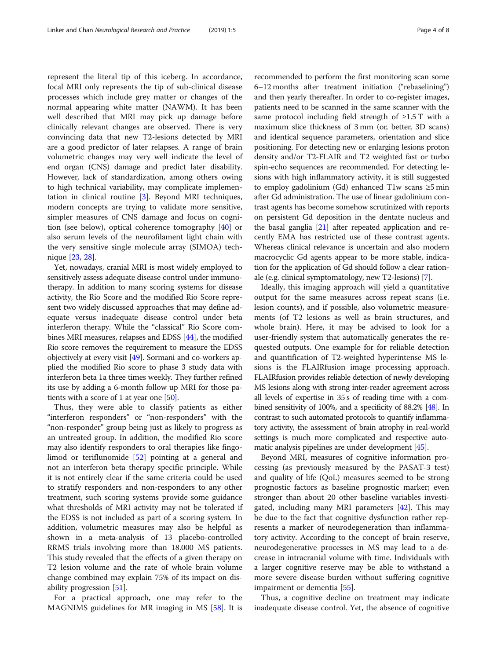represent the literal tip of this iceberg. In accordance, focal MRI only represents the tip of sub-clinical disease processes which include grey matter or changes of the normal appearing white matter (NAWM). It has been well described that MRI may pick up damage before clinically relevant changes are observed. There is very convincing data that new T2-lesions detected by MRI are a good predictor of later relapses. A range of brain volumetric changes may very well indicate the level of end organ (CNS) damage and predict later disability. However, lack of standardization, among others owing to high technical variability, may complicate implementation in clinical routine [\[3](#page-6-0)]. Beyond MRI techniques, modern concepts are trying to validate more sensitive, simpler measures of CNS damage and focus on cognition (see below), optical coherence tomography [[40](#page-7-0)] or also serum levels of the neurofilament light chain with the very sensitive single molecule array (SIMOA) technique [[23,](#page-6-0) [28](#page-7-0)].

Yet, nowadays, cranial MRI is most widely employed to sensitively assess adequate disease control under immunotherapy. In addition to many scoring systems for disease activity, the Rio Score and the modified Rio Score represent two widely discussed approaches that may define adequate versus inadequate disease control under beta interferon therapy. While the "classical" Rio Score combines MRI measures, relapses and EDSS [[44](#page-7-0)], the modified Rio score removes the requirement to measure the EDSS objectively at every visit [\[49\]](#page-7-0). Sormani and co-workers applied the modified Rio score to phase 3 study data with interferon beta 1a three times weekly. They further refined its use by adding a 6-month follow up MRI for those patients with a score of 1 at year one [[50](#page-7-0)].

Thus, they were able to classify patients as either "interferon responders" or "non-responders" with the "non-responder" group being just as likely to progress as an untreated group. In addition, the modified Rio score may also identify responders to oral therapies like fingolimod or teriflunomide [\[52](#page-7-0)] pointing at a general and not an interferon beta therapy specific principle. While it is not entirely clear if the same criteria could be used to stratify responders and non-responders to any other treatment, such scoring systems provide some guidance what thresholds of MRI activity may not be tolerated if the EDSS is not included as part of a scoring system. In addition, volumetric measures may also be helpful as shown in a meta-analysis of 13 placebo-controlled RRMS trials involving more than 18.000 MS patients. This study revealed that the effects of a given therapy on T2 lesion volume and the rate of whole brain volume change combined may explain 75% of its impact on disability progression [[51\]](#page-7-0).

For a practical approach, one may refer to the MAGNIMS guidelines for MR imaging in MS [[58](#page-7-0)]. It is recommended to perform the first monitoring scan some 6–12 months after treatment initiation ("rebaselining") and then yearly thereafter. In order to co-register images, patients need to be scanned in the same scanner with the same protocol including field strength of ≥1.5 T with a maximum slice thickness of 3 mm (or, better, 3D scans) and identical sequence parameters, orientation and slice positioning. For detecting new or enlarging lesions proton density and/or T2-FLAIR and T2 weighted fast or turbo spin-echo sequences are recommended. For detecting lesions with high inflammatory activity, it is still suggested to employ gadolinium (Gd) enhanced T1w scans ≥5 min after Gd administration. The use of linear gadolinium contrast agents has become somehow scrutinized with reports on persistent Gd deposition in the dentate nucleus and the basal ganglia [[21](#page-6-0)] after repeated application and recently EMA has restricted use of these contrast agents. Whereas clinical relevance is uncertain and also modern macrocyclic Gd agents appear to be more stable, indication for the application of Gd should follow a clear rationale (e.g. clinical symptomatology, new T2-lesions) [\[7](#page-6-0)].

Ideally, this imaging approach will yield a quantitative output for the same measures across repeat scans (i.e. lesion counts), and if possible, also volumetric measurements (of T2 lesions as well as brain structures, and whole brain). Here, it may be advised to look for a user-friendly system that automatically generates the requested outputs. One example for for reliable detection and quantification of T2-weighted hyperintense MS lesions is the FLAIRfusion image processing approach. FLAIRfusion provides reliable detection of newly developing MS lesions along with strong inter-reader agreement across all levels of expertise in 35 s of reading time with a combined sensitivity of 100%, and a specificity of 88.2% [[48](#page-7-0)]. In contrast to such automated protocols to quantify inflammatory activity, the assessment of brain atrophy in real-world settings is much more complicated and respective automatic analysis pipelines are under development [\[45\]](#page-7-0).

Beyond MRI, measures of cognitive information processing (as previously measured by the PASAT-3 test) and quality of life (QoL) measures seemed to be strong prognostic factors as baseline prognostic marker; even stronger than about 20 other baseline variables investigated, including many MRI parameters [\[42\]](#page-7-0). This may be due to the fact that cognitive dysfunction rather represents a marker of neurodegeneration than inflammatory activity. According to the concept of brain reserve, neurodegenerative processes in MS may lead to a decrease in intracranial volume with time. Individuals with a larger cognitive reserve may be able to withstand a more severe disease burden without suffering cognitive impairment or dementia [\[55\]](#page-7-0).

Thus, a cognitive decline on treatment may indicate inadequate disease control. Yet, the absence of cognitive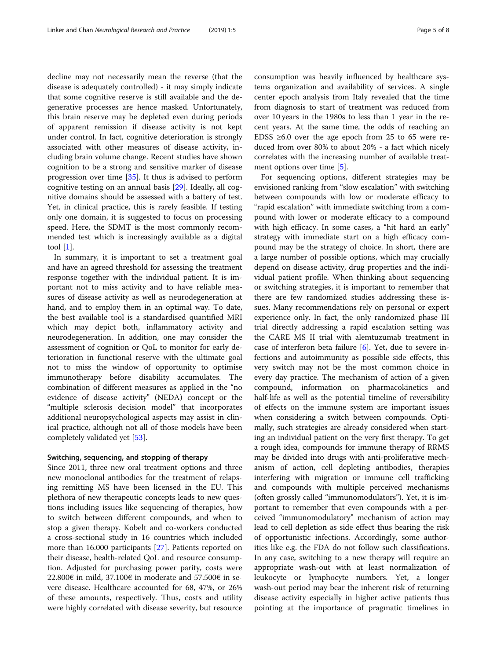decline may not necessarily mean the reverse (that the disease is adequately controlled) - it may simply indicate that some cognitive reserve is still available and the degenerative processes are hence masked. Unfortunately, this brain reserve may be depleted even during periods of apparent remission if disease activity is not kept under control. In fact, cognitive deterioration is strongly associated with other measures of disease activity, including brain volume change. Recent studies have shown cognition to be a strong and sensitive marker of disease progression over time [\[35](#page-7-0)]. It thus is advised to perform cognitive testing on an annual basis [[29\]](#page-7-0). Ideally, all cognitive domains should be assessed with a battery of test. Yet, in clinical practice, this is rarely feasible. If testing only one domain, it is suggested to focus on processing speed. Here, the SDMT is the most commonly recommended test which is increasingly available as a digital tool [[1\]](#page-6-0).

In summary, it is important to set a treatment goal and have an agreed threshold for assessing the treatment response together with the individual patient. It is important not to miss activity and to have reliable measures of disease activity as well as neurodegeneration at hand, and to employ them in an optimal way. To date, the best available tool is a standardised quantified MRI which may depict both, inflammatory activity and neurodegeneration. In addition, one may consider the assessment of cognition or QoL to monitor for early deterioration in functional reserve with the ultimate goal not to miss the window of opportunity to optimise immunotherapy before disability accumulates. The combination of different measures as applied in the "no evidence of disease activity" (NEDA) concept or the "multiple sclerosis decision model" that incorporates additional neuropsychological aspects may assist in clinical practice, although not all of those models have been completely validated yet [\[53](#page-7-0)].

# Switching, sequencing, and stopping of therapy

Since 2011, three new oral treatment options and three new monoclonal antibodies for the treatment of relapsing remitting MS have been licensed in the EU. This plethora of new therapeutic concepts leads to new questions including issues like sequencing of therapies, how to switch between different compounds, and when to stop a given therapy. Kobelt and co-workers conducted a cross-sectional study in 16 countries which included more than 16.000 participants [[27](#page-7-0)]. Patients reported on their disease, health-related QoL and resource consumption. Adjusted for purchasing power parity, costs were 22.800€ in mild, 37.100€ in moderate and 57.500€ in severe disease. Healthcare accounted for 68, 47%, or 26% of these amounts, respectively. Thus, costs and utility were highly correlated with disease severity, but resource consumption was heavily influenced by healthcare systems organization and availability of services. A single center epoch analysis from Italy revealed that the time from diagnosis to start of treatment was reduced from over 10 years in the 1980s to less than 1 year in the recent years. At the same time, the odds of reaching an EDSS  $\geq 6.0$  over the age epoch from 25 to 65 were reduced from over 80% to about 20% - a fact which nicely correlates with the increasing number of available treat-ment options over time [\[5](#page-6-0)].

For sequencing options, different strategies may be envisioned ranking from "slow escalation" with switching between compounds with low or moderate efficacy to "rapid escalation" with immediate switching from a compound with lower or moderate efficacy to a compound with high efficacy. In some cases, a "hit hard an early" strategy with immediate start on a high efficacy compound may be the strategy of choice. In short, there are a large number of possible options, which may crucially depend on disease activity, drug properties and the individual patient profile. When thinking about sequencing or switching strategies, it is important to remember that there are few randomized studies addressing these issues. Many recommendations rely on personal or expert experience only. In fact, the only randomized phase III trial directly addressing a rapid escalation setting was the CARE MS II trial with alemtuzumab treatment in case of interferon beta failure  $[6]$  $[6]$ . Yet, due to severe infections and autoimmunity as possible side effects, this very switch may not be the most common choice in every day practice. The mechanism of action of a given compound, information on pharmacokinetics and half-life as well as the potential timeline of reversibility of effects on the immune system are important issues when considering a switch between compounds. Optimally, such strategies are already considered when starting an individual patient on the very first therapy. To get a rough idea, compounds for immune therapy of RRMS may be divided into drugs with anti-proliferative mechanism of action, cell depleting antibodies, therapies interfering with migration or immune cell trafficking and compounds with multiple perceived mechanisms (often grossly called "immunomodulators"). Yet, it is important to remember that even compounds with a perceived "immunomodulatory" mechanism of action may lead to cell depletion as side effect thus bearing the risk of opportunistic infections. Accordingly, some authorities like e.g. the FDA do not follow such classifications. In any case, switching to a new therapy will require an appropriate wash-out with at least normalization of leukocyte or lymphocyte numbers. Yet, a longer wash-out period may bear the inherent risk of returning disease activity especially in higher active patients thus pointing at the importance of pragmatic timelines in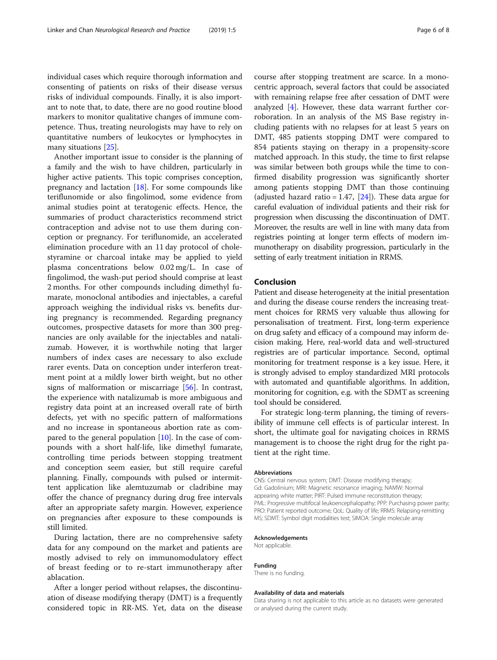individual cases which require thorough information and consenting of patients on risks of their disease versus risks of individual compounds. Finally, it is also important to note that, to date, there are no good routine blood markers to monitor qualitative changes of immune competence. Thus, treating neurologists may have to rely on quantitative numbers of leukocytes or lymphocytes in many situations [\[25](#page-6-0)].

Another important issue to consider is the planning of a family and the wish to have children, particularly in higher active patients. This topic comprises conception, pregnancy and lactation [\[18\]](#page-6-0). For some compounds like teriflunomide or also fingolimod, some evidence from animal studies point at teratogenic effects. Hence, the summaries of product characteristics recommend strict contraception and advise not to use them during conception or pregnancy. For teriflunomide, an accelerated elimination procedure with an 11 day protocol of cholestyramine or charcoal intake may be applied to yield plasma concentrations below 0.02 mg/L. In case of fingolimod, the wash-put period should comprise at least 2 months. For other compounds including dimethyl fumarate, monoclonal antibodies and injectables, a careful approach weighing the individual risks vs. benefits during pregnancy is recommended. Regarding pregnancy outcomes, prospective datasets for more than 300 pregnancies are only available for the injectables and natalizumab. However, it is worthwhile noting that larger numbers of index cases are necessary to also exclude rarer events. Data on conception under interferon treatment point at a mildly lower birth weight, but no other signs of malformation or miscarriage [\[56\]](#page-7-0). In contrast, the experience with natalizumab is more ambiguous and registry data point at an increased overall rate of birth defects, yet with no specific pattern of malformations and no increase in spontaneous abortion rate as compared to the general population [\[10](#page-6-0)]. In the case of compounds with a short half-life, like dimethyl fumarate, controlling time periods between stopping treatment and conception seem easier, but still require careful planning. Finally, compounds with pulsed or intermittent application like alemtuzumab or cladribine may offer the chance of pregnancy during drug free intervals after an appropriate safety margin. However, experience on pregnancies after exposure to these compounds is still limited.

During lactation, there are no comprehensive safety data for any compound on the market and patients are mostly advised to rely on immunomodulatory effect of breast feeding or to re-start immunotherapy after ablacation.

After a longer period without relapses, the discontinuation of disease modifying therapy (DMT) is a frequently considered topic in RR-MS. Yet, data on the disease course after stopping treatment are scarce. In a monocentric approach, several factors that could be associated with remaining relapse free after cessation of DMT were analyzed [[4\]](#page-6-0). However, these data warrant further corroboration. In an analysis of the MS Base registry including patients with no relapses for at least 5 years on DMT, 485 patients stopping DMT were compared to 854 patients staying on therapy in a propensity-score matched approach. In this study, the time to first relapse was similar between both groups while the time to confirmed disability progression was significantly shorter among patients stopping DMT than those continuing (adjusted hazard ratio = 1.47,  $[24]$  $[24]$ ). These data argue for careful evaluation of individual patients and their risk for progression when discussing the discontinuation of DMT. Moreover, the results are well in line with many data from registries pointing at longer term effects of modern immunotherapy on disability progression, particularly in the setting of early treatment initiation in RRMS.

# Conclusion

Patient and disease heterogeneity at the initial presentation and during the disease course renders the increasing treatment choices for RRMS very valuable thus allowing for personalisation of treatment. First, long-term experience on drug safety and efficacy of a compound may inform decision making. Here, real-world data and well-structured registries are of particular importance. Second, optimal monitoring for treatment response is a key issue. Here, it is strongly advised to employ standardized MRI protocols with automated and quantifiable algorithms. In addition, monitoring for cognition, e.g. with the SDMT as screening tool should be considered.

For strategic long-term planning, the timing of reversibility of immune cell effects is of particular interest. In short, the ultimate goal for navigating choices in RRMS management is to choose the right drug for the right patient at the right time.

#### Abbreviations

CNS: Central nervous system; DMT: Disease modifying therapy; Gd: Gadolinium; MRI: Magnetic resonance imaging; NAMW: Normal appearing white matter; PIRT: Pulsed immune reconstitution therapy; PML: Progressive multifocal leukoencephalopathy; PPP: Purchasing power parity; PRO: Patient reported outcome; QoL: Quality of life; RRMS: Relapsing-remitting MS; SDMT: Symbol digit modalities test; SIMOA: Single molecule array

#### Acknowledgements

Not applicable.

## Funding

There is no funding.

#### Availability of data and materials

Data sharing is not applicable to this article as no datasets were generated or analysed during the current study.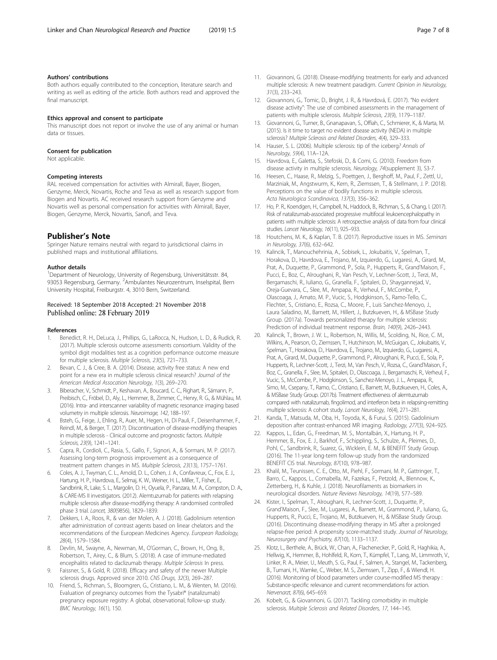## <span id="page-6-0"></span>Authors' contributions

Both authors equally contributed to the conception, literature search and writing as well as editing of the article. Both authors read and approved the final manuscript.

#### Ethics approval and consent to participate

This manuscript does not report or involve the use of any animal or human data or tissues.

#### Consent for publication

Not applicable.

## Competing interests

RAL received compensation for activities with Almirall, Bayer, Biogen, Genzyme, Merck, Novartis, Roche and Teva as well as research support from Biogen and Novartis. AC received research support from Genzyme and Novartis well as personal compensation for activities with Almirall, Bayer, Biogen, Genzyme, Merck, Novartis, Sanofi, and Teva.

# Publisher's Note

Springer Nature remains neutral with regard to jurisdictional claims in published maps and institutional affiliations.

#### Author details

<sup>1</sup>Department of Neurology, University of Regensburg, Universitätsstr. 84, 93053 Regensburg, Germany. <sup>2</sup>Ambulantes Neurozentrum, Inselspital, Bern University Hospital, Freiburgstr. 4, 3010 Bern, Switzerland.

## Received: 18 September 2018 Accepted: 21 November 2018 Published online: 28 February 2019

#### References

- 1. Benedict, R. H., DeLuca, J., Phillips, G., LaRocca, N., Hudson, L. D., & Rudick, R. (2017). Multiple sclerosis outcome assessments consortium. Validity of the symbol digit modalities test as a cognition performance outcome measure for multiple sclerosis. Multiple Sclerosis, 23(5), 721–733.
- 2. Bevan, C. J., & Cree, B. A. (2014). Disease, activity free status: A new end point for a new era in multiple sclerosis clinical research? Journal of the American Medical Assocation Neurology, 1(3), 269–270.
- 3. Biberacher, V., Schmidt, P., Keshavan, A., Boucard, C. C., Righart, R., Sämann, P., Preibisch, C., Fröbel, D., Aly, L., Hemmer, B., Zimmer, C., Henry, R. G., & Mühlau, M. (2016). Intra- and interscanner variability of magnetic resonance imaging based volumetry in multiple sclerosis. Neuroimage, 142, 188–197.
- 4. Bsteh, G., Feige, J., Ehling, R., Auer, M., Hegen, H., Di Pauli, F., Deisenhammer, F., Reindl, M., & Berger, T. (2017). Discontinuation of disease-modifying therapies in multiple sclerosis - Clinical outcome and prognostic factors. Multiple Sclerosis, 23(9), 1241–1241.
- 5. Capra, R., Cordioli, C., Rasia, S., Gallo, F., Signori, A., & Sormani, M. P. (2017). Assessing long-term prognosis improvement as a consequence of treatment pattern changes in MS. Multiple Sclerosis, 23(13), 1757–1761.
- 6. Coles, A. J., Twyman, C. L., Arnold, D. L., Cohen, J. A., Confavreux, C., Fox, E. J., Hartung, H. P., Havrdova, E., Selmaj, K. W., Weiner, H. L., Miller, T., Fisher, E., Sandbrink, R., Lake, S. L., Margolin, D. H., Oyuela, P., Panzara, M. A., Compston, D. A., & CARE-MS II investigators. (2012). Alemtuzumab for patients with relapsing multiple sclerosis after disease-modifying therapy: A randomised controlled phase 3 trial. Lancet, 380(9856), 1829–1839.
- Dekkers, I. A., Roos, R., & van der Molen, A. J. (2018). Gadolinium retention after administration of contrast agents based on linear chelators and the recommendations of the European Medicines Agency. European Radiology, 28(4), 1579–1584.
- 8. Devlin, M., Swayne, A., Newman, M., O'Gorman, C., Brown, H., Ong, B., Robertson, T., Airey, C., & Blum, S. (2018). A case of immune-mediated encephalitis related to daclizumab therapy. Multiple Sclerosis In press.
- 9. Faissner, S., & Gold, R. (2018). Efficacy and safety of the newer Multiple sclerosis drugs. Approved since 2010. CNS Drugs, 32(3), 269–287.
- 10. Friend, S., Richman, S., Bloomgren, G., Cristiano, L. M., & Wenten, M. (2016). Evaluation of pregnancy outcomes from the Tysabri® (natalizumab) pregnancy exposure registry: A global, observational, follow-up study. BMC Neurology, 16(1), 150.
- 11. Giovannoni, G. (2018). Disease-modifying treatments for early and advanced multiple sclerosis: A new treatment paradigm. Current Opinion in Neurology, 31(3), 233–243.
- 12. Giovannoni, G., Tomic, D., Bright, J. R., & Havrdová, E. (2017). "No evident disease activity": The use of combined assessments in the management of patients with multiple sclerosis. Multiple Sclerosis, 23(9), 1179–1187.
- 13. Giovannoni, G., Turner, B., Gnanapavan, S., Offiah, C., Schmierer, K., & Marta, M. (2015). Is it time to target no evident disease activity (NEDA) in multiple sclerosis? Multiple Sclerosis and Related Disorders, 4(4), 329–333.
- 14. Hauser, S. L. (2006). Multiple sclerosis: tip of the iceberg? Annals of Neurology, 59(4), 11A–12A.
- 15. Havrdova, E., Galetta, S., Stefoski, D., & Comi, G. (2010). Freedom from disease activity in multiple sclerosis. Neurology, 74(supplement 3), S3-7.
- 16. Heesen, C., Haase, R., Melzig, S., Poettgen, J., Berghoff, M., Paul, F., Zettl, U., Marziniak, M., Angstwurm, K., Kern, R., Ziemssen, T., & Stellmann, J. P. (2018). Perceptions on the value of bodily functions in multiple sclerosis. Acta Neurologica Scandinavica, 137(3), 356–362.
- 17. Ho, P. R., Koendgen, H., Campbell, N., Haddock, B., Richman, S., & Chang, I. (2017). Risk of natalizumab-associated progressive multifocal leukoencephalopathy in patients with multiple sclerosis: A retrospective analysis of data from four clinical studies. Lancet Neurology, 16(11), 925–933.
- 18. Houtchens, M. K., & Kaplan, T. B. (2017). Reproductive issues in MS. Seminars in Neurology, 37(6), 632–642.
- 19. Kalincik, T., Manouchehrinia, A., Sobisek, L., Jokubaitis, V., Spelman, T., Horakova, D., Havrdova, E., Trojano, M., Izquierdo, G., Lugaresi, A., Girard, M., Prat, A., Duquette, P., Grammond, P., Sola, P., Hupperts, R., Grand'Maison, F., Pucci, E., Boz, C., Alroughani, R., Van Pesch, V., Lechner-Scott, J., Terzi, M., Bergamaschi, R., Iuliano, G., Granella, F., Spitaleri, D., Shaygannejad, V., Oreja-Guevara, C., Slee, M., Ampapa, R., Verheul, F., McCombe, P., Olascoaga, J., Amato, M. P., Vucic, S., Hodgkinson, S., Ramo-Tello, C., Flechter, S., Cristiano, E., Rozsa, C., Moore, F., Luis Sanchez-Menoyo, J., Laura Saladino, M., Barnett, M., Hillert, J., Butzkueven, H., & MSBase Study Group. (2017a). Towards personalized therapy for multiple sclerosis: Prediction of individual treatment response. Brain, 140(9), 2426–2443.
- 20. Kalincik, T., Brown, J. W. L., Robertson, N., Willis, M., Scolding, N., Rice, C. M., Wilkins, A., Pearson, O., Ziemssen, T., Hutchinson, M., McGuigan, C., Jokubaitis, V., Spelman, T., Horakova, D., Havrdova, E., Trojano, M., Izquierdo, G., Lugaresi, A., Prat, A., Girard, M., Duquette, P., Grammond, P., Alroughani, R., Pucci, E., Sola, P., Hupperts, R., Lechner-Scott, J., Terzi, M., Van Pesch, V., Rozsa, C., Grand'Maison, F., Boz, C., Granella, F., Slee, M., Spitaleri, D., Olascoaga, J., Bergamaschi, R., Verheul, F., Vucic, S., McCombe, P., Hodgkinson, S., Sanchez-Menoyo, J. L., Ampapa, R., Simo, M., Csepany, T., Ramo, C., Cristiano, E., Barnett, M., Butzkueven, H., Coles, A., & MSBase Study Group. (2017b). Treatment effectiveness of alemtuzumab compared with natalizumab, fingolimod, and interferon beta in relapsing-remitting multiple sclerosis: A cohort study. Lancet Neurology, 16(4), 271–281.
- 21. Kanda, T., Matsuda, M., Oba, H., Toyoda, K., & Furui, S. (2015). Gadolinium deposition after contrast-enhanced MR imaging. Radiology, 277(3), 924–925.
- 22. Kappos, L., Edan, G., Freedman, M. S., Montalbán, X., Hartung, H. P., Hemmer, B., Fox, E. J., Barkhof, F., Schippling, S., Schulze, A., Pleimes, D., Pohl, C., Sandbrink, R., Suarez, G., Wicklein, E. M., & BENEFIT Study Group. (2016). The 11-year long-term follow-up study from the randomized BENEFIT CIS trial. Neurology, 87(10), 978–987.
- 23. Khalil, M., Teunissen, C. E., Otto, M., Piehl, F., Sormani, M. P., Gattringer, T., Barro, C., Kappos, L., Comabella, M., Fazekas, F., Petzold, A., Blennow, K., Zetterberg, H., & Kuhle, J. (2018). Neurofilaments as biomarkers in neurological disorders. Nature Reviews Neurology, 14(19), 577–589.
- 24. Kister, I., Spelman, T., Alroughani, R., Lechner-Scott, J., Duquette, P., Grand'Maison, F., Slee, M., Lugaresi, A., Barnett, M., Grammond, P., Iuliano, G., Hupperts, R., Pucci, E., Trojano, M., Butzkueven, H., & MSBase Study Group. (2016). Discontinuing disease-modifying therapy in MS after a prolonged relapse-free period: A propensity score-matched study. Journal of Neurology, Neurosurgery and Psychiatry, 87(10), 1133–1137.
- 25. Klotz, L., Berthele, A., Brück, W., Chan, A., Flachenecker, P., Gold, R., Haghikia, A., Hellwig, K., Hemmer, B., Hohlfeld, R., Korn, T., Kümpfel, T., Lang, M., Limmroth, V., Linker, R. A., Meier, U., Meuth, S. G., Paul, F., Salmen, A., Stangel, M., Tackenberg, B., Tumani, H., Warnke, C., Weber, M. S., Ziemssen, T., Zipp, F., & Wiendl, H. (2016). Monitoring of blood parameters under course-modified MS therapy : Substance-specific relevance and current recommendations for action. Nervenarzt, 87(6), 645–659.
- 26. Kobelt, G., & Giovannoni, G. (2017). Tackling comorbidity in multiple sclerosis. Multiple Sclerosis and Related Disorders, 17, 144–145.